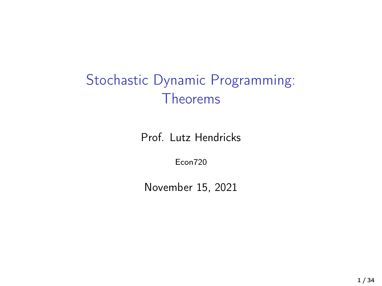### Stochastic Dynamic Programming: Theorems

Prof. Lutz Hendricks

Econ720

November 15, 2021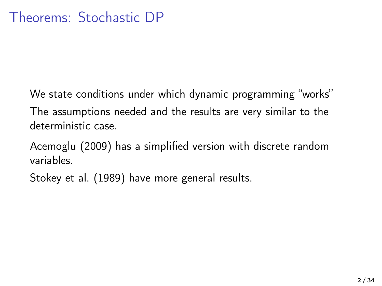We state conditions under which dynamic programming "works" The assumptions needed and the results are very similar to the deterministic case.

[Acemoglu \(2009\)](#page-33-0) has a simplified version with discrete random variables.

[Stokey et al. \(1989\)](#page-33-1) have more general results.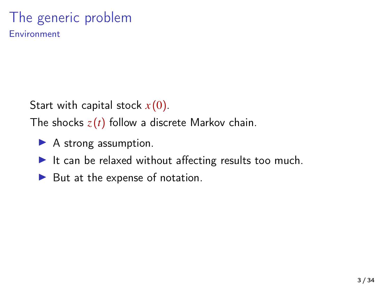# The generic problem

Environment

Start with capital stock *x* (0).

The shocks  $z(t)$  follow a discrete Markov chain.

- $\blacktriangleright$  A strong assumption.
- It can be relaxed without affecting results too much.
- $\blacktriangleright$  But at the expense of notation.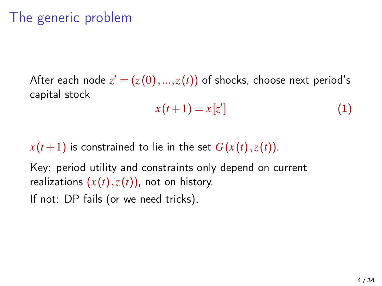### The generic problem

After each node  $z^t = (z(0),...,z(t))$  of shocks, choose next period's capital stock

$$
x(t+1) = x[zt] \tag{1}
$$

 $x(t+1)$  is constrained to lie in the set  $G(x(t),z(t))$ .

Key: period utility and constraints only depend on current realizations  $(x(t),z(t))$ , not on history.

If not: DP fails (or we need tricks).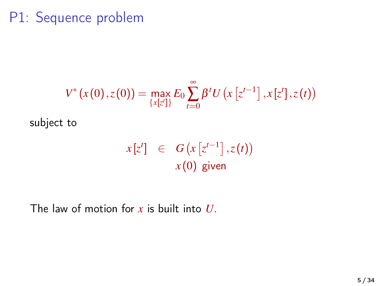### P1: Sequence problem

$$
V^*(x(0),z(0)) = \max_{\{x[z']\}} E_0 \sum_{t=0}^{\infty} \beta^t U\left(x\left[z^{t-1}\right],x[z'],z(t)\right)
$$

subject to

$$
x[zt] \in G(x[zt-1], z(t))
$$
  

$$
x(0) \text{ given}
$$

The law of motion for *x* is built into *U*.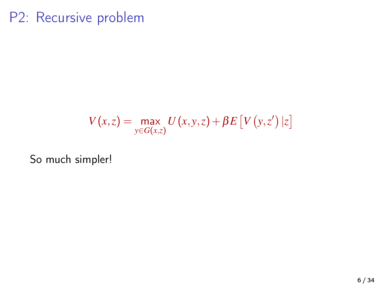### P2: Recursive problem

$$
V(x,z) = \max_{y \in G(x,z)} U(x,y,z) + \beta E \left[ V(y,z') | z \right]
$$

So much simpler!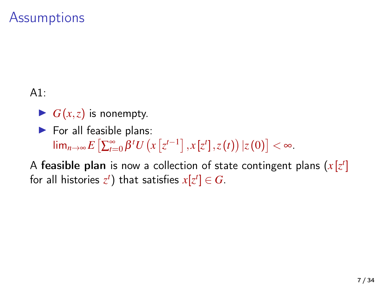### **Assumptions**

A1:

- $\blacktriangleright$   $G(x, z)$  is nonempty.
- $\blacktriangleright$  For all feasible plans:  $\lim_{n\to\infty} E\left[\sum_{t=0}^{\infty} \beta^t U\left(x\left[z^{t-1}\right], x\left[z^t\right], z(t)\right) | z(0)\right] < \infty.$

A feasible plan is now a collection of state contingent plans  $(x[z^t])$ for all histories  $z^t$ ) that satisfies  $x[z^t] \in G$ .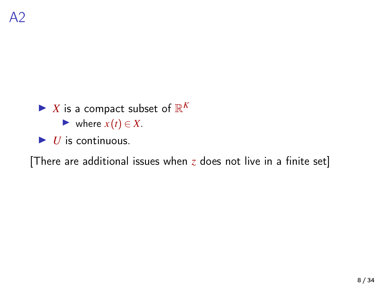### $\blacktriangleright$  *X* is a compact subset of  $\mathbb{R}^K$

 $\blacktriangleright$  where  $x(t) \in X$ .

 $\blacktriangleright$  *U* is continuous.

[There are additional issues when *z* does not live in a finite set]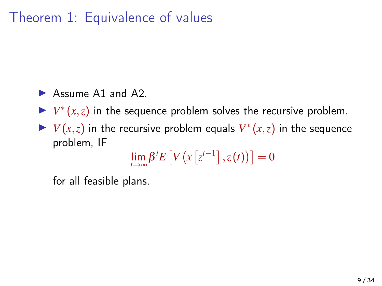### Theorem 1: Equivalence of values

- $\blacktriangleright$  Assume A1 and A2.
- $V^*(x, z)$  in the sequence problem solves the recursive problem.
- $\blacktriangleright$   $V(x, z)$  in the recursive problem equals  $V^*(x, z)$  in the sequence problem, IF

$$
\lim_{t\to\infty}\beta^t E\left[V\left(x\left[z^{t-1}\right],z(t)\right)\right]=0
$$

for all feasible plans.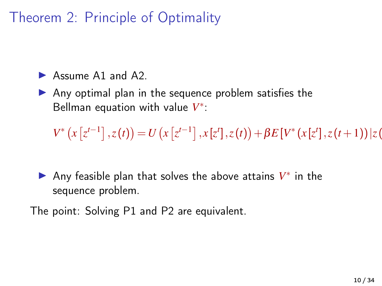### Theorem 2: Principle of Optimality

 $\triangleright$  Assume A1 and A2.

 $\triangleright$  Any optimal plan in the sequence problem satisfies the Bellman equation with value *V* ∗ :

 $V^*\left(x\left[z^{t-1}\right],z(t)\right) = U\left(x\left[z^{t-1}\right],x\left[z^t\right],z(t)\right) + \beta E\left[V^*\left(x\left[z^t\right],z(t+1)\right)\right]z(t)$ 

► Any feasible plan that solves the above attains  $V^*$  in the sequence problem.

The point: Solving P1 and P2 are equivalent.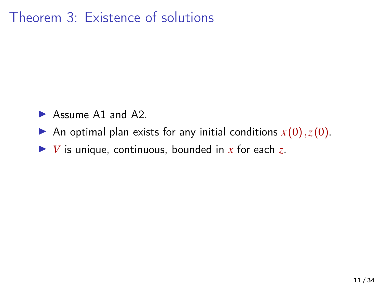### Theorem 3: Existence of solutions

- $\blacktriangleright$  Assume A1 and A2.
- An optimal plan exists for any initial conditions  $x(0), z(0)$ .
- $\triangleright$  *V* is unique, continuous, bounded in *x* for each *z*.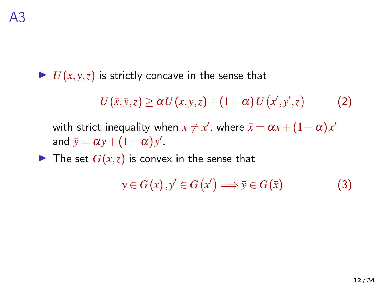$\blacktriangleright$  *U*(*x*, *y*, *z*) is strictly concave in the sense that

$$
U(\bar{x},\bar{y},z) \geq \alpha U(x,y,z) + (1-\alpha) U(x',y',z) \tag{2}
$$

with strict inequality when  $x \neq x'$ , where  $\bar{x} = \alpha x + (1 - \alpha)x'$ and  $\bar{y} = \alpha y + (1 - \alpha) y'$ .

 $\blacktriangleright$  The set  $G(x, z)$  is convex in the sense that

$$
y \in G(x), y' \in G(x') \Longrightarrow \bar{y} \in G(\bar{x})
$$
 (3)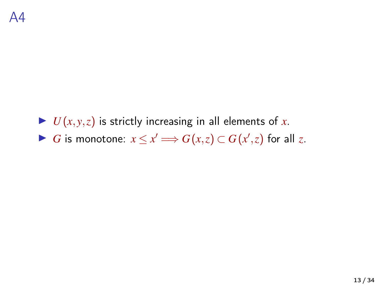$\blacktriangleright$  *U*(*x*, *y*,*z*) is strictly increasing in all elements of *x*. ▶ *G* is monotone:  $x \le x'$   $\Longrightarrow$   $G(x,z) \subset G(x',z)$  for all *z*.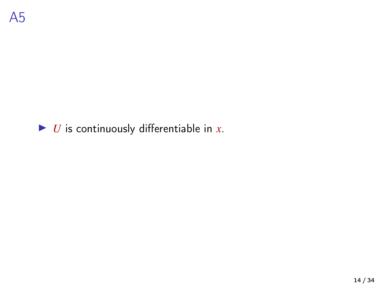#### $\triangleright$  *U* is continuously differentiable in *x*.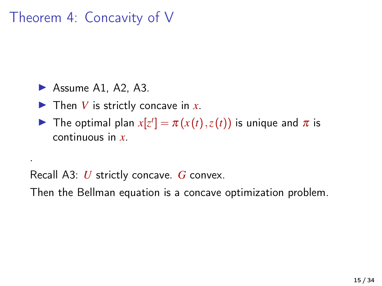### Theorem 4: Concavity of V

 $\blacktriangleright$  Assume A1, A2, A3.

.

 $\blacktriangleright$  Then *V* is strictly concave in *x*.

The optimal plan  $x[z^t] = \pi(x(t), z(t))$  is unique and  $\pi$  is continuous in *x*.

Recall A3: *U* strictly concave. *G* convex.

Then the Bellman equation is a concave optimization problem.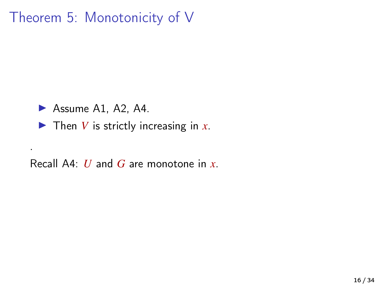### Theorem 5: Monotonicity of V

 $\blacktriangleright$  Assume A1, A2, A4.

.

 $\blacktriangleright$  Then *V* is strictly increasing in *x*.

Recall A4: *U* and *G* are monotone in *x*.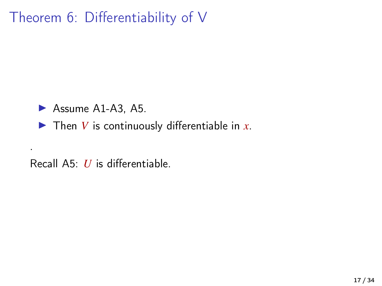### Theorem 6: Differentiability of V

 $\blacktriangleright$  Assume A1-A3, A5.

.

 $\blacktriangleright$  Then *V* is continuously differentiable in *x*.

Recall A5: *U* is differentiable.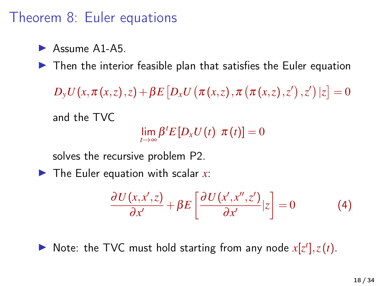#### Theorem 8: Euler equations

 $\blacktriangleright$  Assume A1-A5.

 $\blacktriangleright$  Then the interior feasible plan that satisfies the Euler equation

 $D_{\mathrm{y}}U\big(x,\pi\big(x,z\big),z\big) + \beta E\big[D_{x}U\big(\pi\big(x,z\big),\pi\big(\pi\big(x,z\big),z'\big)\,,z'\big)\,|z\big] = 0$ 

and the TVC

 $\lim_{t\to\infty}\beta^t E[D_xU(t) \ \pi(t)]=0$ 

solves the recursive problem P2.

 $\blacktriangleright$  The Euler equation with scalar x:

$$
\frac{\partial U(x, x', z)}{\partial x'} + \beta E \left[ \frac{\partial U(x', x'', z')}{\partial x'} | z \right] = 0 \tag{4}
$$

 $\triangleright$  Note: the TVC must hold starting from any node  $x[z^t], z(t)$ .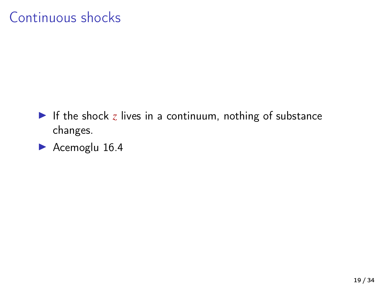### Continuous shocks

- If the shock  $z$  lives in a continuum, nothing of substance changes.
- $\blacktriangleright$  Acemoglu 16.4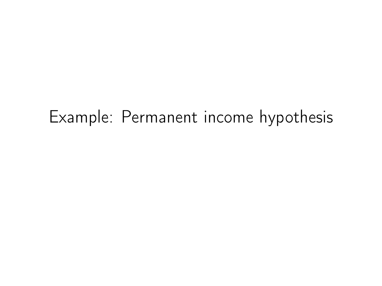## Example: Permanent income hypothesis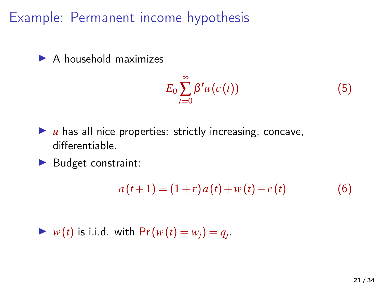Example: Permanent income hypothesis

 $\blacktriangleright$  A household maximizes

$$
E_0 \sum_{t=0}^{\infty} \beta^t u(c(t)) \tag{5}
$$

- $\blacktriangleright$  *u* has all nice properties: strictly increasing, concave, differentiable.
- $\blacktriangleright$  Budget constraint:

$$
a(t+1) = (1+r)a(t) + w(t) - c(t)
$$
 (6)

 $\blacktriangleright$  *w*(*t*) is i.i.d. with  $Pr(w(t) = w_j) = q_j$ .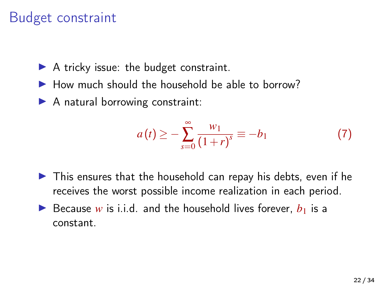### Budget constraint

- $\blacktriangleright$  A tricky issue: the budget constraint.
- $\blacktriangleright$  How much should the household be able to borrow?
- $\blacktriangleright$  A natural borrowing constraint:

$$
a(t) \geq -\sum_{s=0}^{\infty} \frac{w_1}{(1+r)^s} \equiv -b_1
$$
 (7)

- $\triangleright$  This ensures that the household can repay his debts, even if he receives the worst possible income realization in each period.
- Because *w* is i.i.d. and the household lives forever,  $b_1$  is a constant.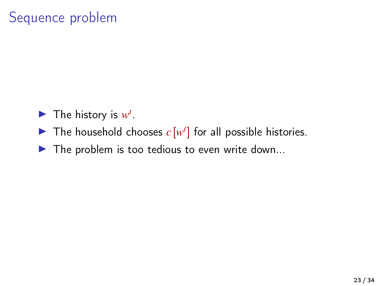### Sequence problem

- $\blacktriangleright$  The history is  $w^t$ .
- The household chooses  $c[w^t]$  for all possible histories.
- $\blacktriangleright$  The problem is too tedious to even write down...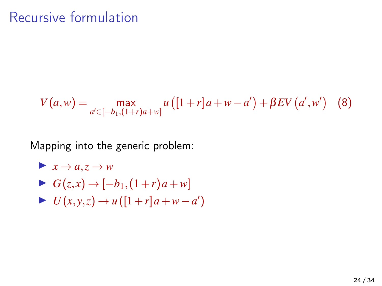#### Recursive formulation

$$
V(a, w) = \max_{a' \in [-b_1, (1+r)a + w]} u([1+r]a + w - a') + \beta EV(a', w') \quad (8)
$$

Mapping into the generic problem:

$$
\blacktriangleright x \to a, z \to w
$$

- $\triangleright$  *G*(*z*, *x*) → [−*b*<sub>1</sub>,(1+*r*)*a*+*w*]
- $\blacktriangleright$  *U*(*x*, *y*, *z*) → *u*([1+*r*]*a*+*w*−*a*<sup>'</sup>)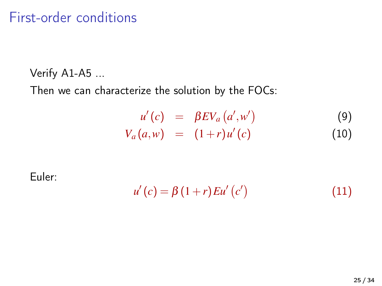#### First-order conditions

Verify A1-A5 ...

Then we can characterize the solution by the FOCs:

$$
u'(c) = \beta E V_a (a', w')
$$
 (9)  

$$
V_a(a, w) = (1+r)u'(c)
$$
 (10)

Euler:

$$
u'(c) = \beta (1+r) E u'(c')
$$
 (11)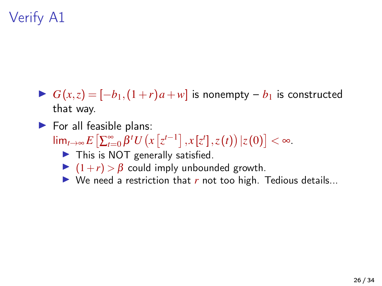- $\triangleright$  *G*(*x*,*z*) = [−*b*<sub>1</sub>,(1+*r*)*a*+*w*] is nonempty − *b*<sub>1</sub> is constructed that way.
- $\blacktriangleright$  For all feasible plans:  $\lim_{t\to\infty} E\left[\sum_{t=0}^{\infty} \beta^t U\left(x\left[z^{t-1}\right], x\left[z^t\right], z(t)\right) | z(0)\right] < \infty.$  $\blacktriangleright$  This is NOT generally satisfied.
	- $\blacktriangleright$   $(1+r) > \beta$  could imply unbounded growth.
	- $\triangleright$  We need a restriction that *r* not too high. Tedious details...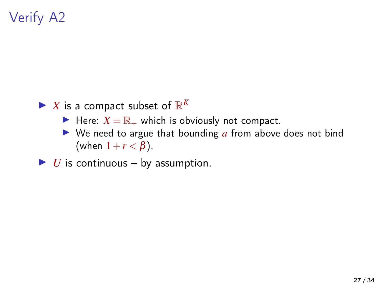- $\blacktriangleright$  *X* is a compact subset of  $\mathbb{R}^K$ 
	- $\blacktriangleright$  Here:  $X = \mathbb{R}_+$  which is obviously not compact.
	- $\triangleright$  We need to argue that bounding  $\alpha$  from above does not bind (when  $1+r < \beta$ ).
- $\triangleright$  *U* is continuous by assumption.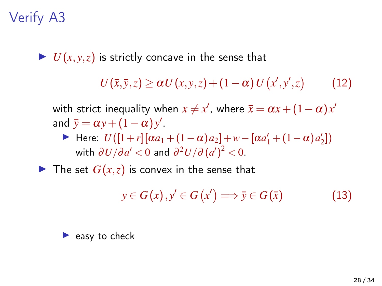$\blacktriangleright$  *U*(*x*, *y*,*z*) is strictly concave in the sense that

 $U(\bar{x}, \bar{y}, z) \ge \alpha U(x, y, z) + (1 - \alpha) U(x', y', z)$ (12)

with strict inequality when  $x \neq x'$ , where  $\bar{x} = \alpha x + (1 - \alpha)x'$ and  $\bar{y} = \alpha y + (1 - \alpha) y'$ .

 $\blacktriangleright$  Here: *U*([1+*r*][α*a*<sub>1</sub> + (1 − α)*a*<sub>2</sub>]+*w* − [α*a*<sup>1</sup><sub>1</sub> + (1 − α)*a*<sup>1</sup><sub>2</sub>]) with  $\partial U/\partial a' < 0$  and  $\partial^2 U/\partial \left(a'\right)^2 < 0.$ 

 $\blacktriangleright$  The set  $G(x, z)$  is convex in the sense that

 $y \in G(x), y' \in G(x') \Longrightarrow \bar{y} \in G(\bar{x})$  (13)

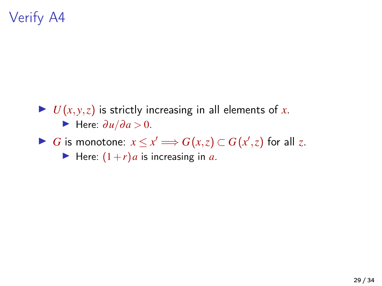- $\blacktriangleright$  *U*(*x*, *y*,*z*) is strictly increasing in all elements of *x*.  $\blacktriangleright$  Here:  $\frac{\partial u}{\partial a} > 0$ .
- ▶ *G* is monotone:  $x \le x'$   $\Longrightarrow$   $G(x,z) \subset G(x',z)$  for all *z*.

Here:  $(1+r)a$  is increasing in *a*.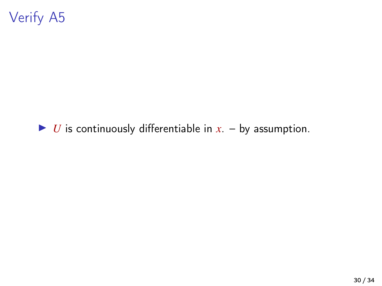#### $\triangleright$  *U* is continuously differentiable in *x*. – by assumption.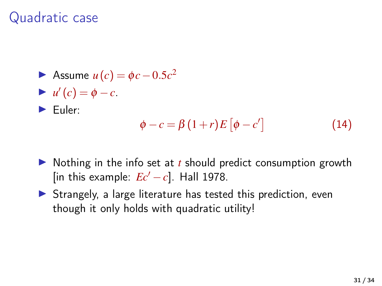#### Quadratic case

\n- Assume 
$$
u(c) = \phi c - 0.5c^2
$$
\n- $u'(c) = \phi - c$
\n- Euler:  $\phi - c = \beta(1+r)E[\phi - c']$
\n
\n(14)

- $\triangleright$  Nothing in the info set at *t* should predict consumption growth [in this example:  $Ec' - c$ ]. Hall 1978.
- $\triangleright$  Strangely, a large literature has tested this prediction, even though it only holds with quadratic utility!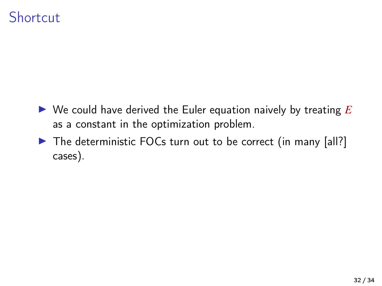#### **Shortcut**

- $\triangleright$  We could have derived the Euler equation naively by treating  $E$ as a constant in the optimization problem.
- The deterministic FOCs turn out to be correct (in many [all?] cases).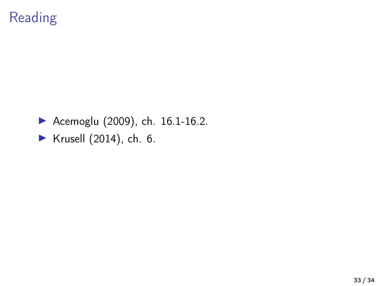### Reading

 $\blacktriangleright$  [Acemoglu \(2009\)](#page-33-0), ch. 16.1-16.2.

 $\blacktriangleright$  [Krusell \(2014\)](#page-33-2), ch. 6.